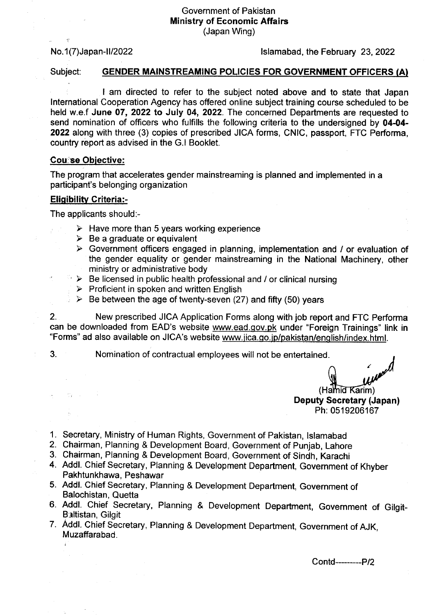## Government of Pakistan Ministry of Economic Affairs (Japan Wing)

 $\tau$ 

## No. 1 (7) Japan-II/2022 lslamabad, the February 23, 2022

# Subject: GENDER MAINSTREAMING POLICIES FOR GOVERNMENT OFFICERS (A)

I am directed to refer to the subject noted above and to state that Japan lnternational Cooperation Agency has offered online subject training course scheduled to be held w.e.f June 07, 2022 to July 04, 2022. The concerned Departments are requested to send nomination of officers who fulfills the following criteria to the undersigned by 04-04-2022 along with three (3) copies of prescribed JICA forms, CNIC, passport, FTC Performa, country report as advised in the G.l Booklet.

## Cou:se Obiective:

The program that accelerates gender mainstreaming is planned and implemented in a participant's belonging organization

## Eliqibilitv Griteria:-

The applicants should:-

- $\geq$  Have more than 5 years working experience  $\geq$  Be a graduate or equivalent
- 
- $\triangleright$  Government officers engaged in planning, implementation and / or evaluation of the gender equality or gender mainstreaming in the National Machinery, other ministry or administrative body
- $\Rightarrow$  Be licensed in public health professional and / or clinical nursing  $\Rightarrow$  Proficient in spoken and written English<br> $\Rightarrow$  Be between the age of twenty-seven (27) and fifty (50) years
	-
	-

2. New prescribed JICA Application Forms along with job report and FTC Performa can be downloaded from EAD's website www.ead.qov.pk under "Foreign Trainings" link in "Forms" ad also available on JICA's website www.jica.go.jp/pakistan/english/index.html.

 $\sigma_{\rm c} \sim 1$ 

3. Nomination of contractual employees will not be entertained.

 $(Ha<sub>mid</sub>  $Karim$ )$ Deputy Secretary (Japan) Ph: 0519206167

- 1. Secretary, Ministry of Human Rights, Government of Pakistan, lslamabad
- 2. Chairman, Planning & Development Board, Government of punjab, Lahore
- 3. Chairman, Planning & Development Board, Government of Sindh, Karachi
- 4. Addl. chief secretary, Planning & Development Department, Government of Khyber Pakhtunkhawa, Peshawar
- 5. Addl. chief Secretary, Planning & Development Department, Government of Balochistan, Quetta
- 6. Addl. Chief Secretary, Planning & Development Department, Government of Gilgit-Baltistan, Gilgit
- 7. Addl. chief secretary, Planning & Development Department, Government of AJK, Muzaffarabad.

Contd-----P/2